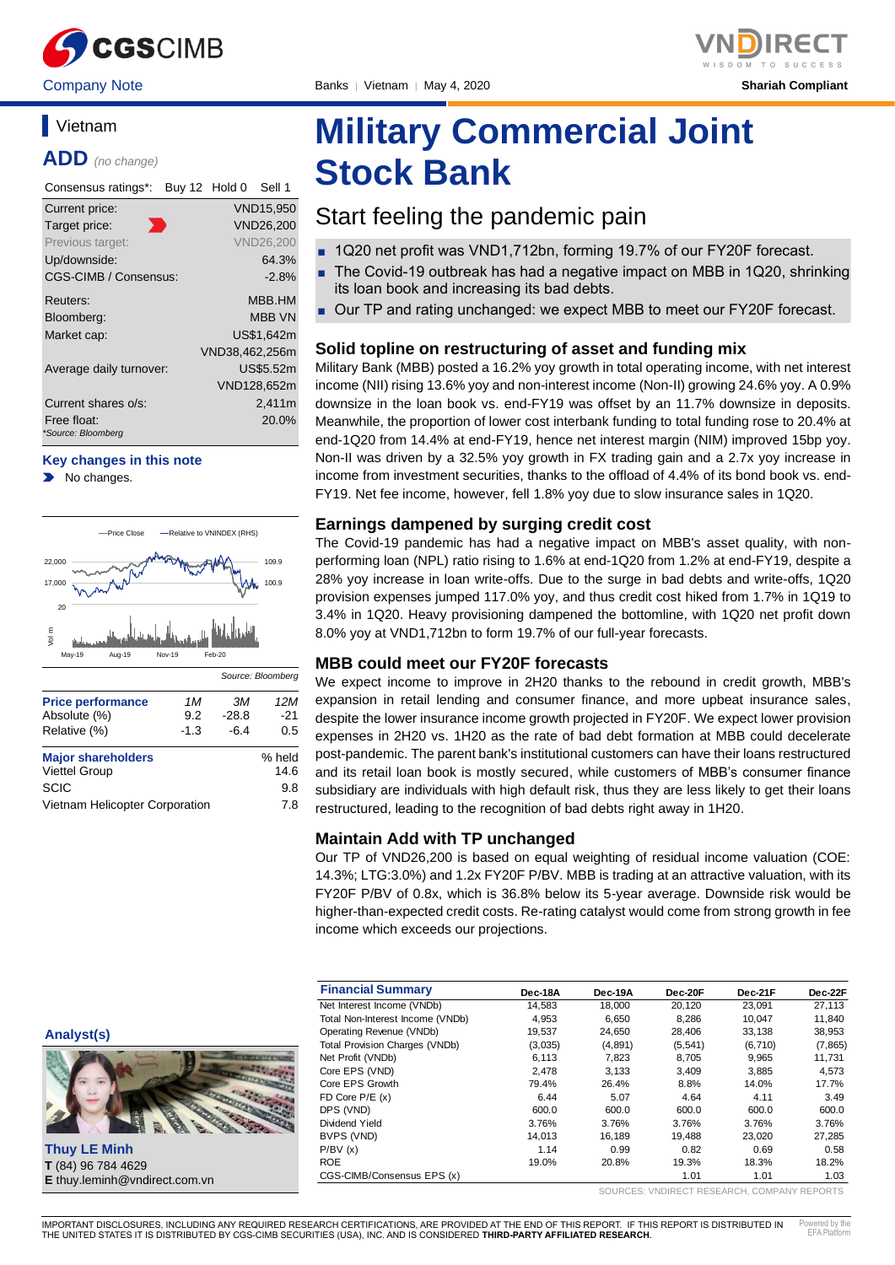

## **Vietnam**

**ADD** *(no change)*

| Consensus ratings*:               | Buy 12 Hold 0 |                | Sell 1           |
|-----------------------------------|---------------|----------------|------------------|
| Current price:                    |               |                | <b>VND15,950</b> |
| Target price:                     |               |                | <b>VND26.200</b> |
| Previous target:                  |               |                | <b>VND26.200</b> |
| Up/downside:                      |               |                | 64.3%            |
| CGS-CIMB / Consensus:             |               |                | $-2.8%$          |
| Reuters:                          |               |                | MBB.HM           |
| Bloomberg:                        |               |                | <b>MBB VN</b>    |
| Market cap:                       |               |                | US\$1.642m       |
|                                   |               | VND38,462,256m |                  |
| Average daily turnover:           |               |                | US\$5.52m        |
|                                   |               |                | VND128,652m      |
| Current shares o/s:               |               |                | 2,411m           |
| Free float:<br>*Source: Bloomberg |               |                | 20.0%            |

### **Key changes in this note**

No changes.



| <b>Major shareholders</b>           | % held      |
|-------------------------------------|-------------|
| <b>Viettel Group</b><br><b>SCIC</b> | 14.6<br>9.8 |
| Vietnam Helicopter Corporation      | 7.8         |

# **Military Commercial Joint Stock Bank**

## Start feeling the pandemic pain

- 1Q20 net profit was VND1,712bn, forming 19.7% of our FY20F forecast.
- The Covid-19 outbreak has had a negative impact on MBB in 1Q20, shrinking its loan book and increasing its bad debts.
- Our TP and rating unchanged: we expect MBB to meet our FY20F forecast.

## **Solid topline on restructuring of asset and funding mix**

Military Bank (MBB) posted a 16.2% yoy growth in total operating income, with net interest income (NII) rising 13.6% yoy and non-interest income (Non-II) growing 24.6% yoy. A 0.9% downsize in the loan book vs. end-FY19 was offset by an 11.7% downsize in deposits. Meanwhile, the proportion of lower cost interbank funding to total funding rose to 20.4% at end-1Q20 from 14.4% at end-FY19, hence net interest margin (NIM) improved 15bp yoy. Non-II was driven by a 32.5% yoy growth in FX trading gain and a 2.7x yoy increase in income from investment securities, thanks to the offload of 4.4% of its bond book vs. end-FY19. Net fee income, however, fell 1.8% yoy due to slow insurance sales in 1Q20.

## **Earnings dampened by surging credit cost**

The Covid-19 pandemic has had a negative impact on MBB's asset quality, with nonperforming loan (NPL) ratio rising to 1.6% at end-1Q20 from 1.2% at end-FY19, despite a 28% yoy increase in loan write-offs. Due to the surge in bad debts and write-offs, 1Q20 provision expenses jumped 117.0% yoy, and thus credit cost hiked from 1.7% in 1Q19 to 3.4% in 1Q20. Heavy provisioning dampened the bottomline, with 1Q20 net profit down 8.0% yoy at VND1,712bn to form 19.7% of our full-year forecasts.

## **MBB could meet our FY20F forecasts**

We expect income to improve in 2H20 thanks to the rebound in credit growth, MBB's expansion in retail lending and consumer finance, and more upbeat insurance sales, despite the lower insurance income growth projected in FY20F. We expect lower provision expenses in 2H20 vs. 1H20 as the rate of bad debt formation at MBB could decelerate post-pandemic. The parent bank's institutional customers can have their loans restructured and its retail loan book is mostly secured, while customers of MBB's consumer finance subsidiary are individuals with high default risk, thus they are less likely to get their loans restructured, leading to the recognition of bad debts right away in 1H20.

## **Maintain Add with TP unchanged**

Our TP of VND26,200 is based on equal weighting of residual income valuation (COE: 14.3%; LTG:3.0%) and 1.2x FY20F P/BV. MBB is trading at an attractive valuation, with its FY20F P/BV of 0.8x, which is 36.8% below its 5-year average. Downside risk would be higher-than-expected credit costs. Re-rating catalyst would come from strong growth in fee income which exceeds our projections.

| <b>Financial Summary</b>         | Dec-18A | Dec-19A | Dec-20F  | Dec-21F  | Dec-22F  |
|----------------------------------|---------|---------|----------|----------|----------|
| Net Interest Income (VNDb)       | 14.583  | 18.000  | 20.120   | 23.091   | 27,113   |
| Total Non-Interest Income (VNDb) | 4.953   | 6.650   | 8.286    | 10.047   | 11,840   |
| Operating Revenue (VNDb)         | 19,537  | 24.650  | 28,406   | 33.138   | 38,953   |
| Total Provision Charges (VNDb)   | (3,035) | (4,891) | (5, 541) | (6, 710) | (7, 865) |
| Net Profit (VNDb)                | 6.113   | 7.823   | 8.705    | 9.965    | 11.731   |
| Core EPS (VND)                   | 2.478   | 3.133   | 3.409    | 3.885    | 4,573    |
| Core EPS Growth                  | 79.4%   | 26.4%   | 8.8%     | 14.0%    | 17.7%    |
| FD Core $P/E(x)$                 | 6.44    | 5.07    | 4.64     | 4.11     | 3.49     |
| DPS (VND)                        | 600.0   | 600.0   | 600.0    | 600.0    | 600.0    |
| Dividend Yield                   | 3.76%   | 3.76%   | 3.76%    | 3.76%    | 3.76%    |
| BVPS (VND)                       | 14.013  | 16.189  | 19.488   | 23.020   | 27,285   |
| P/BV(x)                          | 1.14    | 0.99    | 0.82     | 0.69     | 0.58     |
| <b>ROE</b>                       | 19.0%   | 20.8%   | 19.3%    | 18.3%    | 18.2%    |
| CGS-CIMB/Consensus EPS (x)       |         |         | 1.01     | 1.01     | 1.03     |

SOURCES: VNDIRECT RESEARCH, COMPANY REPORTS

**Analyst(s)**

**Thuy LE Minh T** (84) 96 784 4629 **E** thuy.leminh@vndirect.com.vn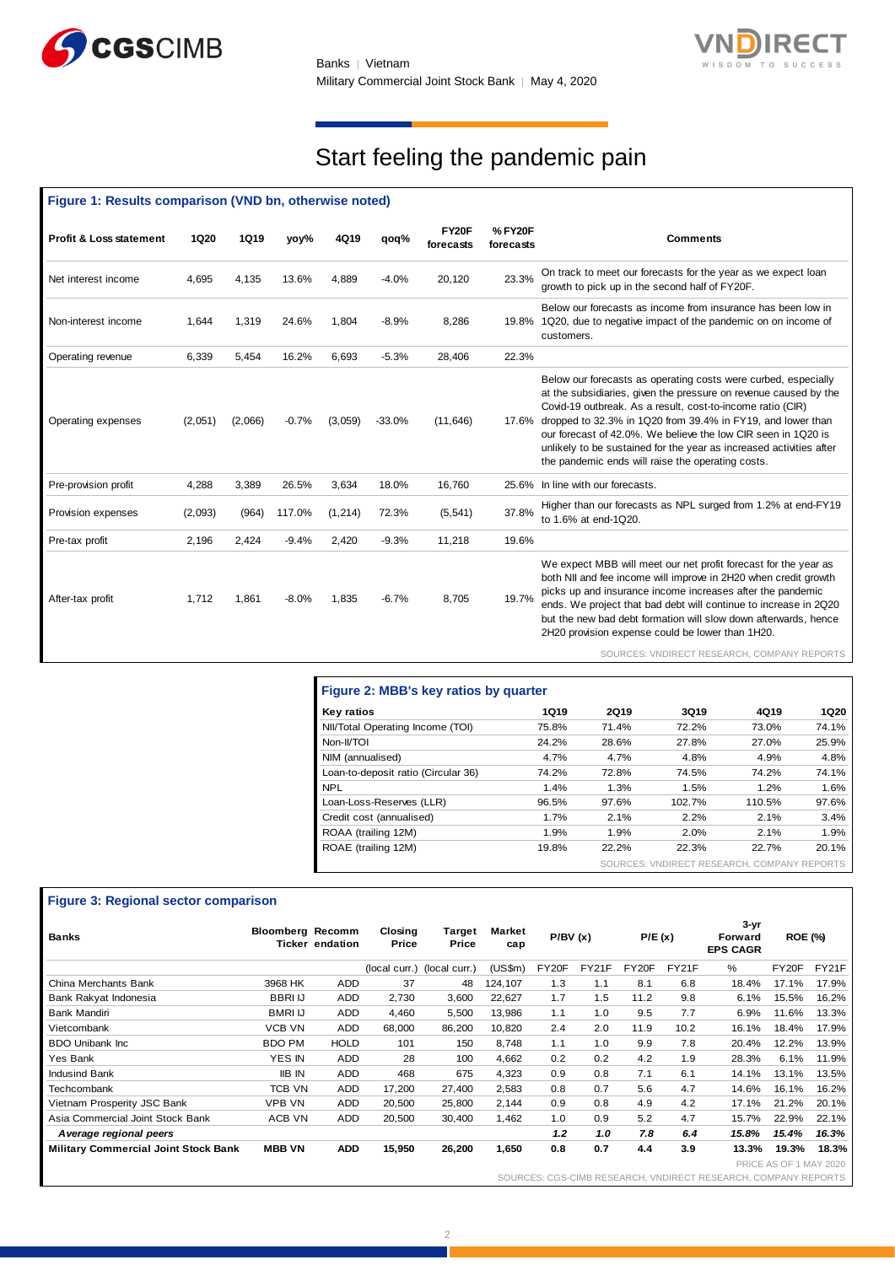



## Start feeling the pandemic pain

| Figure 1: Results comparison (VND bn, otherwise noted) |             |             |         |          |          |                    |                      |                                                                                                                                                                                                                                                                                                                                                                                                                                                                    |
|--------------------------------------------------------|-------------|-------------|---------|----------|----------|--------------------|----------------------|--------------------------------------------------------------------------------------------------------------------------------------------------------------------------------------------------------------------------------------------------------------------------------------------------------------------------------------------------------------------------------------------------------------------------------------------------------------------|
| <b>Profit &amp; Loss statement</b>                     | <b>1Q20</b> | <b>1Q19</b> | yoy%    | 4Q19     | qoq%     | FY20F<br>forecasts | % FY20F<br>forecasts | <b>Comments</b>                                                                                                                                                                                                                                                                                                                                                                                                                                                    |
| Net interest income                                    | 4,695       | 4,135       | 13.6%   | 4,889    | $-4.0%$  | 20,120             | 23.3%                | On track to meet our forecasts for the year as we expect loan<br>growth to pick up in the second half of FY20F.                                                                                                                                                                                                                                                                                                                                                    |
| Non-interest income                                    | 1,644       | 1,319       | 24.6%   | 1,804    | $-8.9%$  | 8,286              |                      | Below our forecasts as income from insurance has been low in<br>19.8% 1Q20, due to negative impact of the pandemic on on income of<br>customers.                                                                                                                                                                                                                                                                                                                   |
| Operating revenue                                      | 6,339       | 5,454       | 16.2%   | 6,693    | $-5.3%$  | 28,406             | 22.3%                |                                                                                                                                                                                                                                                                                                                                                                                                                                                                    |
| Operating expenses                                     | (2,051)     | (2,066)     | $-0.7%$ | (3,059)  | $-33.0%$ | (11, 646)          |                      | Below our forecasts as operating costs were curbed, especially<br>at the subsidiaries, given the pressure on revenue caused by the<br>Covid-19 outbreak. As a result, cost-to-income ratio (CIR)<br>17.6% dropped to 32.3% in 1Q20 from 39.4% in FY19, and lower than<br>our forecast of 42.0%. We believe the low CIR seen in 1Q20 is<br>unlikely to be sustained for the year as increased activities after<br>the pandemic ends will raise the operating costs. |
| Pre-provision profit                                   | 4,288       | 3,389       | 26.5%   | 3,634    | 18.0%    | 16,760             | 25.6%                | In line with our forecasts.                                                                                                                                                                                                                                                                                                                                                                                                                                        |
| Provision expenses                                     | (2,093)     | (964)       | 117.0%  | (1, 214) | 72.3%    | (5, 541)           | 37.8%                | Higher than our forecasts as NPL surged from 1.2% at end-FY19<br>to 1.6% at end-1Q20.                                                                                                                                                                                                                                                                                                                                                                              |
| Pre-tax profit                                         | 2,196       | 2,424       | $-9.4%$ | 2,420    | $-9.3%$  | 11,218             | 19.6%                |                                                                                                                                                                                                                                                                                                                                                                                                                                                                    |
| After-tax profit                                       | 1,712       | 1,861       | $-8.0%$ | 1,835    | $-6.7%$  | 8,705              | 19.7%                | We expect MBB will meet our net profit forecast for the year as<br>both NII and fee income will improve in 2H20 when credit growth<br>picks up and insurance income increases after the pandemic<br>ends. We project that bad debt will continue to increase in 2Q20<br>but the new bad debt formation will slow down afterwards, hence<br>2H20 provision expense could be lower than 1H20.                                                                        |
|                                                        |             |             |         |          |          |                    |                      | SOURCES: VNDIRECT RESEARCH, COMPANY REPORTS                                                                                                                                                                                                                                                                                                                                                                                                                        |

| Figure 2: MBB's key ratios by quarter |       |       |                                             |        |             |
|---------------------------------------|-------|-------|---------------------------------------------|--------|-------------|
| Key ratios                            | 1Q19  | 2Q19  | 3Q19                                        | 4Q19   | <b>1Q20</b> |
| NII/Total Operating Income (TOI)      | 75.8% | 71.4% | 72.2%                                       | 73.0%  | 74.1%       |
| Non-II/TOI                            | 24.2% | 28.6% | 27.8%                                       | 27.0%  | 25.9%       |
| NIM (annualised)                      | 4.7%  | 4.7%  | 4.8%                                        | 4.9%   | 4.8%        |
| Loan-to-deposit ratio (Circular 36)   | 74.2% | 72.8% | 74.5%                                       | 74.2%  | 74.1%       |
| <b>NPL</b>                            | 1.4%  | 1.3%  | 1.5%                                        | 1.2%   | 1.6%        |
| Loan-Loss-Reserves (LLR)              | 96.5% | 97.6% | 102.7%                                      | 110.5% | 97.6%       |
| Credit cost (annualised)              | 1.7%  | 2.1%  | 2.2%                                        | 2.1%   | 3.4%        |
| ROAA (trailing 12M)                   | 1.9%  | 1.9%  | 2.0%                                        | 2.1%   | 1.9%        |
| ROAE (trailing 12M)                   | 19.8% | 22.2% | 22.3%                                       | 22.7%  | 20.1%       |
|                                       |       |       | SOURCES: VNDIRECT RESEARCH, COMPANY REPORTS |        |             |

## **Figure 3: Regional sector comparison**

| <b>Banks</b>                                | <b>Bloomberg Recomm</b> | Ticker endation | Closing<br>Price | Target<br>Price | <b>Market</b><br>сар | P/BV(x) |       | P/E(x) |       | 3-yr<br>Forward<br><b>EPS CAGR</b> | <b>ROE (%)</b>         |       |
|---------------------------------------------|-------------------------|-----------------|------------------|-----------------|----------------------|---------|-------|--------|-------|------------------------------------|------------------------|-------|
|                                             |                         |                 | (local curr.)    | (local curr.)   | (US\$m)              | FY20F   | FY21F | FY20F  | FY21F | %                                  | FY20F                  | FY21F |
| China Merchants Bank                        | 3968 HK                 | ADD             | 37               | 48              | 124,107              | 1.3     | 1.1   | 8.1    | 6.8   | 18.4%                              | 17.1%                  | 17.9% |
| Bank Rakyat Indonesia                       | <b>BBRIU</b>            | <b>ADD</b>      | 2,730            | 3,600           | 22,627               | 1.7     | 1.5   | 11.2   | 9.8   | 6.1%                               | 15.5%                  | 16.2% |
| Bank Mandiri                                | <b>BMRI IJ</b>          | <b>ADD</b>      | 4,460            | 5,500           | 13,986               | 1.1     | 1.0   | 9.5    | 7.7   | 6.9%                               | 11.6%                  | 13.3% |
| Vietcombank                                 | <b>VCB VN</b>           | ADD             | 68,000           | 86,200          | 10,820               | 2.4     | 2.0   | 11.9   | 10.2  | 16.1%                              | 18.4%                  | 17.9% |
| <b>BDO Unibank Inc.</b>                     | <b>BDO PM</b>           | <b>HOLD</b>     | 101              | 150             | 8,748                | 1.1     | 1.0   | 9.9    | 7.8   | 20.4%                              | 12.2%                  | 13.9% |
| Yes Bank                                    | YES IN                  | <b>ADD</b>      | 28               | 100             | 4,662                | 0.2     | 0.2   | 4.2    | 1.9   | 28.3%                              | 6.1%                   | 11.9% |
| <b>Indusind Bank</b>                        | <b>IIB IN</b>           | <b>ADD</b>      | 468              | 675             | 4,323                | 0.9     | 0.8   | 7.1    | 6.1   | 14.1%                              | 13.1%                  | 13.5% |
| Techcombank                                 | TCB VN                  | <b>ADD</b>      | 17,200           | 27,400          | 2,583                | 0.8     | 0.7   | 5.6    | 4.7   | 14.6%                              | 16.1%                  | 16.2% |
| Vietnam Prosperity JSC Bank                 | <b>VPB VN</b>           | <b>ADD</b>      | 20,500           | 25,800          | 2,144                | 0.9     | 0.8   | 4.9    | 4.2   | 17.1%                              | 21.2%                  | 20.1% |
| Asia Commercial Joint Stock Bank            | ACB VN                  | <b>ADD</b>      | 20,500           | 30.400          | 1,462                | 1.0     | 0.9   | 5.2    | 4.7   | 15.7%                              | 22.9%                  | 22.1% |
| A verage regional peers                     |                         |                 |                  |                 |                      | 1.2     | 1.0   | 7.8    | 6.4   | 15.8%                              | 15.4%                  | 16.3% |
| <b>Military Commercial Joint Stock Bank</b> | <b>MBB VN</b>           | <b>ADD</b>      | 15,950           | 26,200          | 1,650                | 0.8     | 0.7   | 4.4    | 3.9   | 13.3%                              | 19.3%                  | 18.3% |
|                                             |                         |                 |                  |                 |                      |         |       |        |       |                                    | DOICE AC OF 4 MAY 2020 |       |

PRICE AS OF 1 MAY 2020

SOURCES: CGS-CIMB RESEARCH, VNDIRECT RESEARCH, COMPANY REPORTS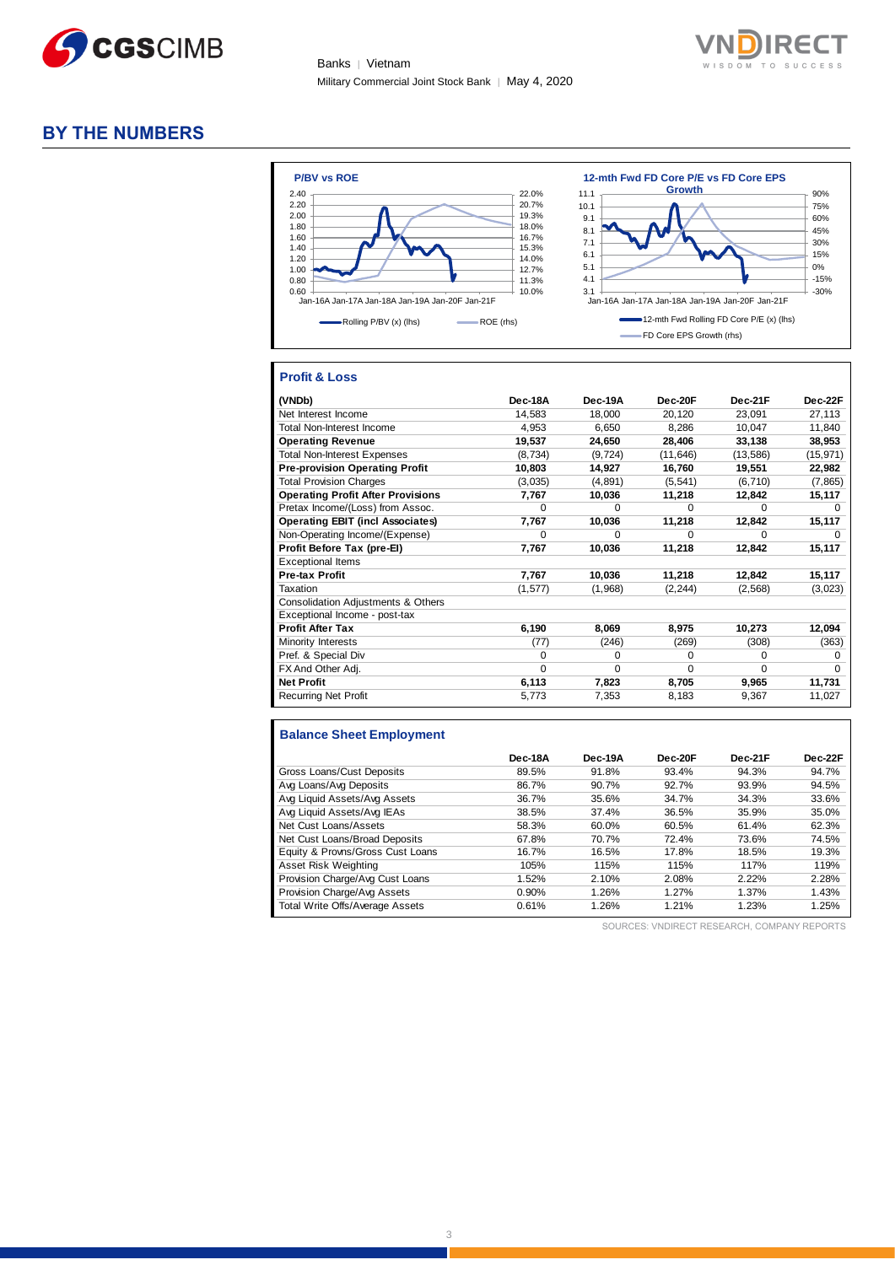



## **BY THE NUMBERS**



## **Profit & Loss**

| (VNDb)                                   | Dec-18A      | Dec-19A  | Dec-20F   | Dec-21F   | Dec-22F      |
|------------------------------------------|--------------|----------|-----------|-----------|--------------|
| Net Interest Income                      | 14,583       | 18,000   | 20,120    | 23,091    | 27,113       |
| Total Non-Interest Income                | 4,953        | 6,650    | 8,286     | 10,047    | 11,840       |
| <b>Operating Revenue</b>                 | 19,537       | 24,650   | 28,406    | 33,138    | 38,953       |
| <b>Total Non-Interest Expenses</b>       | (8,734)      | (9, 724) | (11, 646) | (13, 586) | (15, 971)    |
| <b>Pre-provision Operating Profit</b>    | 10,803       | 14,927   | 16,760    | 19,551    | 22,982       |
| <b>Total Provision Charges</b>           | (3,035)      | (4,891)  | (5, 541)  | (6, 710)  | (7, 865)     |
| <b>Operating Profit After Provisions</b> | 7,767        | 10,036   | 11,218    | 12,842    | 15,117       |
| Pretax Income/(Loss) from Assoc.         | $\Omega$     | $\Omega$ | $\Omega$  | $\Omega$  | $\Omega$     |
| <b>Operating EBIT (incl Associates)</b>  | 7,767        | 10,036   | 11,218    | 12,842    | 15,117       |
| Non-Operating Income/(Expense)           | $\Omega$     | $\Omega$ | $\Omega$  | $\Omega$  | $\Omega$     |
| Profit Before Tax (pre-El)               | 7,767        | 10,036   | 11,218    | 12,842    | 15,117       |
| <b>Exceptional Items</b>                 |              |          |           |           |              |
| <b>Pre-tax Profit</b>                    | 7,767        | 10,036   | 11,218    | 12,842    | 15,117       |
| Taxation                                 | (1, 577)     | (1,968)  | (2, 244)  | (2, 568)  | (3,023)      |
| Consolidation Adjustments & Others       |              |          |           |           |              |
| Exceptional Income - post-tax            |              |          |           |           |              |
| <b>Profit After Tax</b>                  | 6,190        | 8,069    | 8,975     | 10,273    | 12,094       |
| Minority Interests                       | (77)         | (246)    | (269)     | (308)     | (363)        |
| Pref. & Special Div                      | <sup>0</sup> | 0        | 0         | $\Omega$  | <sup>0</sup> |
| FX And Other Adj.                        | $\Omega$     | $\Omega$ | $\Omega$  | $\Omega$  | <sup>0</sup> |
| <b>Net Profit</b>                        | 6,113        | 7,823    | 8,705     | 9,965     | 11,731       |
| <b>Recurring Net Profit</b>              | 5,773        | 7,353    | 8,183     | 9,367     | 11,027       |

## **Balance Sheet Employment**

|                                  | Dec-18A | Dec-19A | Dec-20F | Dec-21F | Dec-22F |
|----------------------------------|---------|---------|---------|---------|---------|
| Gross Loans/Cust Deposits        | 89.5%   | 91.8%   | 93.4%   | 94.3%   | 94.7%   |
| Avg Loans/Avg Deposits           | 86.7%   | 90.7%   | 92.7%   | 93.9%   | 94.5%   |
| Avg Liquid Assets/Avg Assets     | 36.7%   | 35.6%   | 34.7%   | 34.3%   | 33.6%   |
| Avg Liquid Assets/Avg IEAs       | 38.5%   | 37.4%   | 36.5%   | 35.9%   | 35.0%   |
| Net Cust Loans/Assets            | 58.3%   | 60.0%   | 60.5%   | 61.4%   | 62.3%   |
| Net Cust Loans/Broad Deposits    | 67.8%   | 70.7%   | 72.4%   | 73.6%   | 74.5%   |
| Equity & Provns/Gross Cust Loans | 16.7%   | 16.5%   | 17.8%   | 18.5%   | 19.3%   |
| Asset Risk Weighting             | 105%    | 115%    | 115%    | 117%    | 119%    |
| Provision Charge/Avg Cust Loans  | 1.52%   | 2.10%   | 2.08%   | 2.22%   | 2.28%   |
| Provision Charge/Avg Assets      | 0.90%   | 1.26%   | 1.27%   | 1.37%   | 1.43%   |
| Total Write Offs/Average Assets  | 0.61%   | 1.26%   | 1.21%   | 1.23%   | 1.25%   |

SOURCES: VNDIRECT RESEARCH, COMPANY REPORTS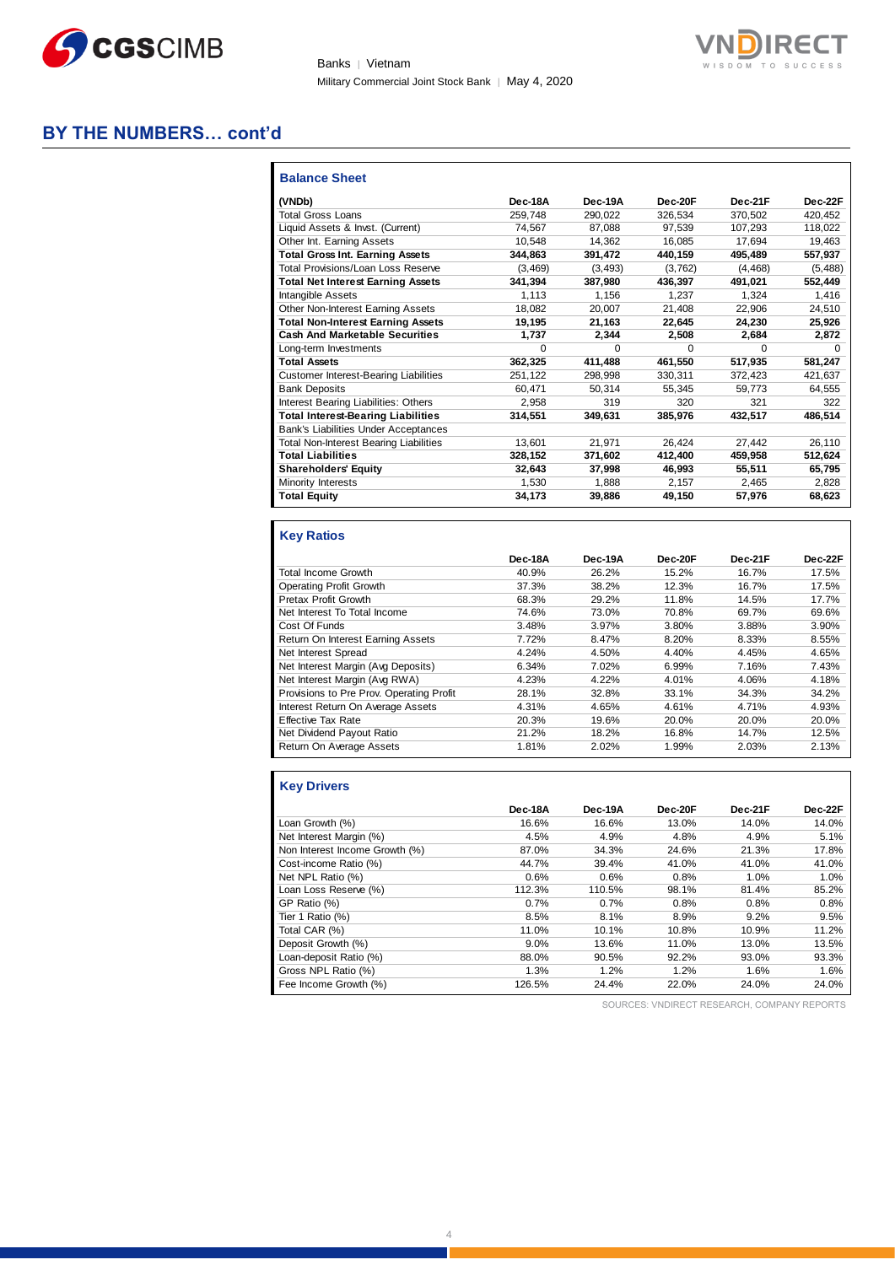

Banks | Vietnam Military Commercial Joint Stock Bank | May 4, 2020



## **BY THE NUMBERS… cont'd**

| <b>Balance Sheet</b>                          |          |              |         |              |          |
|-----------------------------------------------|----------|--------------|---------|--------------|----------|
| (VNDb)                                        | Dec-18A  | Dec-19A      | Dec-20F | Dec-21F      | Dec-22F  |
| <b>Total Gross Loans</b>                      | 259.748  | 290.022      | 326.534 | 370.502      | 420.452  |
| Liquid Assets & Invst. (Current)              | 74.567   | 87.088       | 97.539  | 107.293      | 118.022  |
| Other Int. Earning Assets                     | 10.548   | 14,362       | 16,085  | 17.694       | 19,463   |
| <b>Total Gross Int. Earning Assets</b>        | 344,863  | 391,472      | 440,159 | 495,489      | 557,937  |
| Total Provisions/Loan Loss Reserve            | (3,469)  | (3.493)      | (3,762) | (4.468)      | (5, 488) |
| <b>Total Net Interest Earning Assets</b>      | 341.394  | 387,980      | 436,397 | 491.021      | 552,449  |
| Intangible Assets                             | 1.113    | 1.156        | 1.237   | 1.324        | 1.416    |
| Other Non-Interest Earning Assets             | 18,082   | 20,007       | 21,408  | 22,906       | 24,510   |
| <b>Total Non-Interest Earning Assets</b>      | 19,195   | 21,163       | 22.645  | 24.230       | 25,926   |
| <b>Cash And Marketable Securities</b>         | 1,737    | 2.344        | 2.508   | 2.684        | 2,872    |
| Long-term Investments                         | $\Omega$ | <sup>0</sup> | 0       | <sup>0</sup> | $\Omega$ |
| <b>Total Assets</b>                           | 362,325  | 411,488      | 461.550 | 517,935      | 581,247  |
| <b>Customer Interest-Bearing Liabilities</b>  | 251.122  | 298,998      | 330,311 | 372.423      | 421.637  |
| <b>Bank Deposits</b>                          | 60.471   | 50.314       | 55.345  | 59.773       | 64.555   |
| Interest Bearing Liabilities: Others          | 2,958    | 319          | 320     | 321          | 322      |
| <b>Total Interest-Bearing Liabilities</b>     | 314.551  | 349.631      | 385.976 | 432.517      | 486.514  |
| Bank's Liabilities Under Acceptances          |          |              |         |              |          |
| <b>Total Non-Interest Bearing Liabilities</b> | 13.601   | 21,971       | 26.424  | 27.442       | 26,110   |
| <b>Total Liabilities</b>                      | 328,152  | 371,602      | 412,400 | 459,958      | 512,624  |
| <b>Shareholders' Equity</b>                   | 32.643   | 37,998       | 46.993  | 55.511       | 65,795   |
| Minority Interests                            | 1,530    | 1,888        | 2,157   | 2,465        | 2,828    |
| <b>Total Equity</b>                           | 34,173   | 39,886       | 49,150  | 57,976       | 68,623   |

## **Key Ratios**

|                                          | Dec-18A | Dec-19A | Dec-20F | Dec-21F | Dec-22F |
|------------------------------------------|---------|---------|---------|---------|---------|
| <b>Total Income Growth</b>               | 40.9%   | 26.2%   | 15.2%   | 16.7%   | 17.5%   |
| Operating Profit Growth                  | 37.3%   | 38.2%   | 12.3%   | 16.7%   | 17.5%   |
| Pretax Profit Growth                     | 68.3%   | 29.2%   | 11.8%   | 14.5%   | 17.7%   |
| Net Interest To Total Income             | 74.6%   | 73.0%   | 70.8%   | 69.7%   | 69.6%   |
| Cost Of Funds                            | 3.48%   | 3.97%   | 3.80%   | 3.88%   | 3.90%   |
| Return On Interest Earning Assets        | 7.72%   | 8.47%   | 8.20%   | 8.33%   | 8.55%   |
| Net Interest Spread                      | 4.24%   | 4.50%   | 4.40%   | 4.45%   | 4.65%   |
| Net Interest Margin (Avg Deposits)       | 6.34%   | 7.02%   | 6.99%   | 7.16%   | 7.43%   |
| Net Interest Margin (Avg RWA)            | 4.23%   | 4.22%   | 4.01%   | 4.06%   | 4.18%   |
| Provisions to Pre Prov. Operating Profit | 28.1%   | 32.8%   | 33.1%   | 34.3%   | 34.2%   |
| Interest Return On Average Assets        | 4.31%   | 4.65%   | 4.61%   | 4.71%   | 4.93%   |
| <b>Effective Tax Rate</b>                | 20.3%   | 19.6%   | 20.0%   | 20.0%   | 20.0%   |
| Net Dividend Payout Ratio                | 21.2%   | 18.2%   | 16.8%   | 14.7%   | 12.5%   |
| Return On Average Assets                 | 1.81%   | 2.02%   | 1.99%   | 2.03%   | 2.13%   |

## **Key Drivers**

|                                | Dec-18A | Dec-19A | Dec-20F | Dec-21F | Dec-22F |
|--------------------------------|---------|---------|---------|---------|---------|
| Loan Growth (%)                | 16.6%   | 16.6%   | 13.0%   | 14.0%   | 14.0%   |
| Net Interest Margin (%)        | 4.5%    | 4.9%    | 4.8%    | 4.9%    | 5.1%    |
| Non Interest Income Growth (%) | 87.0%   | 34.3%   | 24.6%   | 21.3%   | 17.8%   |
| Cost-income Ratio (%)          | 44.7%   | 39.4%   | 41.0%   | 41.0%   | 41.0%   |
| Net NPL Ratio (%)              | 0.6%    | 0.6%    | 0.8%    | 1.0%    | 1.0%    |
| Loan Loss Reserve (%)          | 112.3%  | 110.5%  | 98.1%   | 81.4%   | 85.2%   |
| GP Ratio (%)                   | 0.7%    | 0.7%    | 0.8%    | 0.8%    | 0.8%    |
| Tier 1 Ratio (%)               | 8.5%    | 8.1%    | 8.9%    | 9.2%    | 9.5%    |
| Total CAR (%)                  | 11.0%   | 10.1%   | 10.8%   | 10.9%   | 11.2%   |
| Deposit Growth (%)             | 9.0%    | 13.6%   | 11.0%   | 13.0%   | 13.5%   |
| Loan-deposit Ratio (%)         | 88.0%   | 90.5%   | 92.2%   | 93.0%   | 93.3%   |
| Gross NPL Ratio (%)            | 1.3%    | 1.2%    | 1.2%    | 1.6%    | 1.6%    |
| Fee Income Growth (%)          | 126.5%  | 24.4%   | 22.0%   | 24.0%   | 24.0%   |

SOURCES: VNDIRECT RESEARCH, COMPANY REPORTS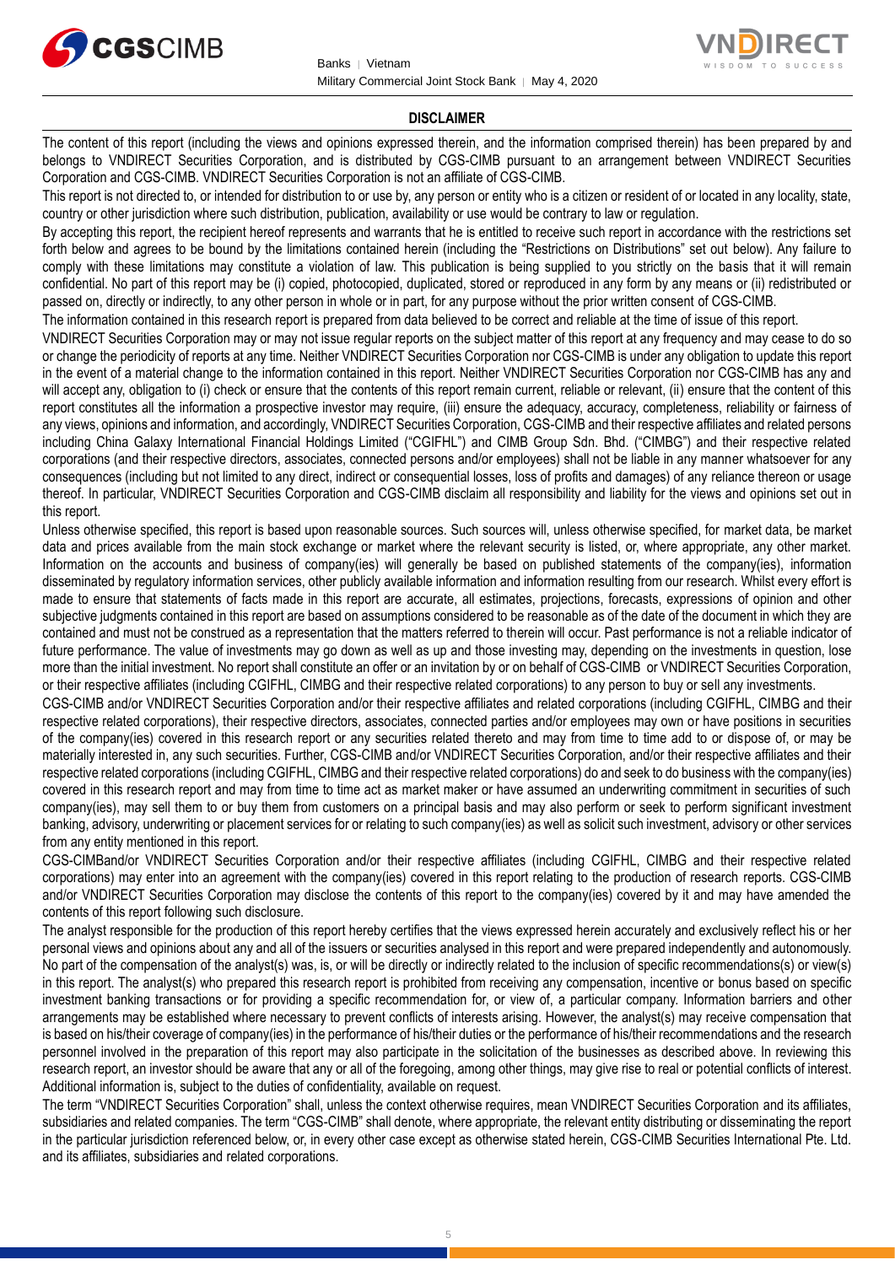



#### **DISCLAIMER**

The content of this report (including the views and opinions expressed therein, and the information comprised therein) has been prepared by and belongs to VNDIRECT Securities Corporation, and is distributed by CGS-CIMB pursuant to an arrangement between VNDIRECT Securities Corporation and CGS-CIMB. VNDIRECT Securities Corporation is not an affiliate of CGS-CIMB.

This report is not directed to, or intended for distribution to or use by, any person or entity who is a citizen or resident of or located in any locality, state, country or other jurisdiction where such distribution, publication, availability or use would be contrary to law or regulation.

By accepting this report, the recipient hereof represents and warrants that he is entitled to receive such report in accordance with the restrictions set forth below and agrees to be bound by the limitations contained herein (including the "Restrictions on Distributions" set out below). Any failure to comply with these limitations may constitute a violation of law. This publication is being supplied to you strictly on the basis that it will remain confidential. No part of this report may be (i) copied, photocopied, duplicated, stored or reproduced in any form by any means or (ii) redistributed or passed on, directly or indirectly, to any other person in whole or in part, for any purpose without the prior written consent of CGS-CIMB.

The information contained in this research report is prepared from data believed to be correct and reliable at the time of issue of this report.

VNDIRECT Securities Corporation may or may not issue regular reports on the subject matter of this report at any frequency and may cease to do so or change the periodicity of reports at any time. Neither VNDIRECT Securities Corporation nor CGS-CIMB is under any obligation to update this report in the event of a material change to the information contained in this report. Neither VNDIRECT Securities Corporation nor CGS-CIMB has any and will accept any, obligation to (i) check or ensure that the contents of this report remain current, reliable or relevant, (ii) ensure that the content of this report constitutes all the information a prospective investor may require, (iii) ensure the adequacy, accuracy, completeness, reliability or fairness of any views, opinions and information, and accordingly, VNDIRECT Securities Corporation, CGS-CIMB and their respective affiliates and related persons including China Galaxy International Financial Holdings Limited ("CGIFHL") and CIMB Group Sdn. Bhd. ("CIMBG") and their respective related corporations (and their respective directors, associates, connected persons and/or employees) shall not be liable in any manner whatsoever for any consequences (including but not limited to any direct, indirect or consequential losses, loss of profits and damages) of any reliance thereon or usage thereof. In particular, VNDIRECT Securities Corporation and CGS-CIMB disclaim all responsibility and liability for the views and opinions set out in this report.

Unless otherwise specified, this report is based upon reasonable sources. Such sources will, unless otherwise specified, for market data, be market data and prices available from the main stock exchange or market where the relevant security is listed, or, where appropriate, any other market. Information on the accounts and business of company(ies) will generally be based on published statements of the company(ies), information disseminated by regulatory information services, other publicly available information and information resulting from our research. Whilst every effort is made to ensure that statements of facts made in this report are accurate, all estimates, projections, forecasts, expressions of opinion and other subjective judgments contained in this report are based on assumptions considered to be reasonable as of the date of the document in which they are contained and must not be construed as a representation that the matters referred to therein will occur. Past performance is not a reliable indicator of future performance. The value of investments may go down as well as up and those investing may, depending on the investments in question, lose more than the initial investment. No report shall constitute an offer or an invitation by or on behalf of CGS-CIMB or VNDIRECT Securities Corporation, or their respective affiliates (including CGIFHL, CIMBG and their respective related corporations) to any person to buy or sell any investments.

CGS-CIMB and/or VNDIRECT Securities Corporation and/or their respective affiliates and related corporations (including CGIFHL, CIMBG and their respective related corporations), their respective directors, associates, connected parties and/or employees may own or have positions in securities of the company(ies) covered in this research report or any securities related thereto and may from time to time add to or dispose of, or may be materially interested in, any such securities. Further, CGS-CIMB and/or VNDIRECT Securities Corporation, and/or their respective affiliates and their respective related corporations (including CGIFHL, CIMBG and their respective related corporations) do and seek to do business with the company(ies) covered in this research report and may from time to time act as market maker or have assumed an underwriting commitment in securities of such company(ies), may sell them to or buy them from customers on a principal basis and may also perform or seek to perform significant investment banking, advisory, underwriting or placement services for or relating to such company(ies) as well as solicit such investment, advisory or other services from any entity mentioned in this report.

CGS-CIMBand/or VNDIRECT Securities Corporation and/or their respective affiliates (including CGIFHL, CIMBG and their respective related corporations) may enter into an agreement with the company(ies) covered in this report relating to the production of research reports. CGS-CIMB and/or VNDIRECT Securities Corporation may disclose the contents of this report to the company(ies) covered by it and may have amended the contents of this report following such disclosure.

The analyst responsible for the production of this report hereby certifies that the views expressed herein accurately and exclusively reflect his or her personal views and opinions about any and all of the issuers or securities analysed in this report and were prepared independently and autonomously. No part of the compensation of the analyst(s) was, is, or will be directly or indirectly related to the inclusion of specific recommendations(s) or view(s) in this report. The analyst(s) who prepared this research report is prohibited from receiving any compensation, incentive or bonus based on specific investment banking transactions or for providing a specific recommendation for, or view of, a particular company. Information barriers and other arrangements may be established where necessary to prevent conflicts of interests arising. However, the analyst(s) may receive compensation that is based on his/their coverage of company(ies) in the performance of his/their duties or the performance of his/their recommendations and the research personnel involved in the preparation of this report may also participate in the solicitation of the businesses as described above. In reviewing this research report, an investor should be aware that any or all of the foregoing, among other things, may give rise to real or potential conflicts of interest. Additional information is, subject to the duties of confidentiality, available on request.

The term "VNDIRECT Securities Corporation" shall, unless the context otherwise requires, mean VNDIRECT Securities Corporation and its affiliates, subsidiaries and related companies. The term "CGS-CIMB" shall denote, where appropriate, the relevant entity distributing or disseminating the report in the particular jurisdiction referenced below, or, in every other case except as otherwise stated herein, CGS-CIMB Securities International Pte. Ltd. and its affiliates, subsidiaries and related corporations.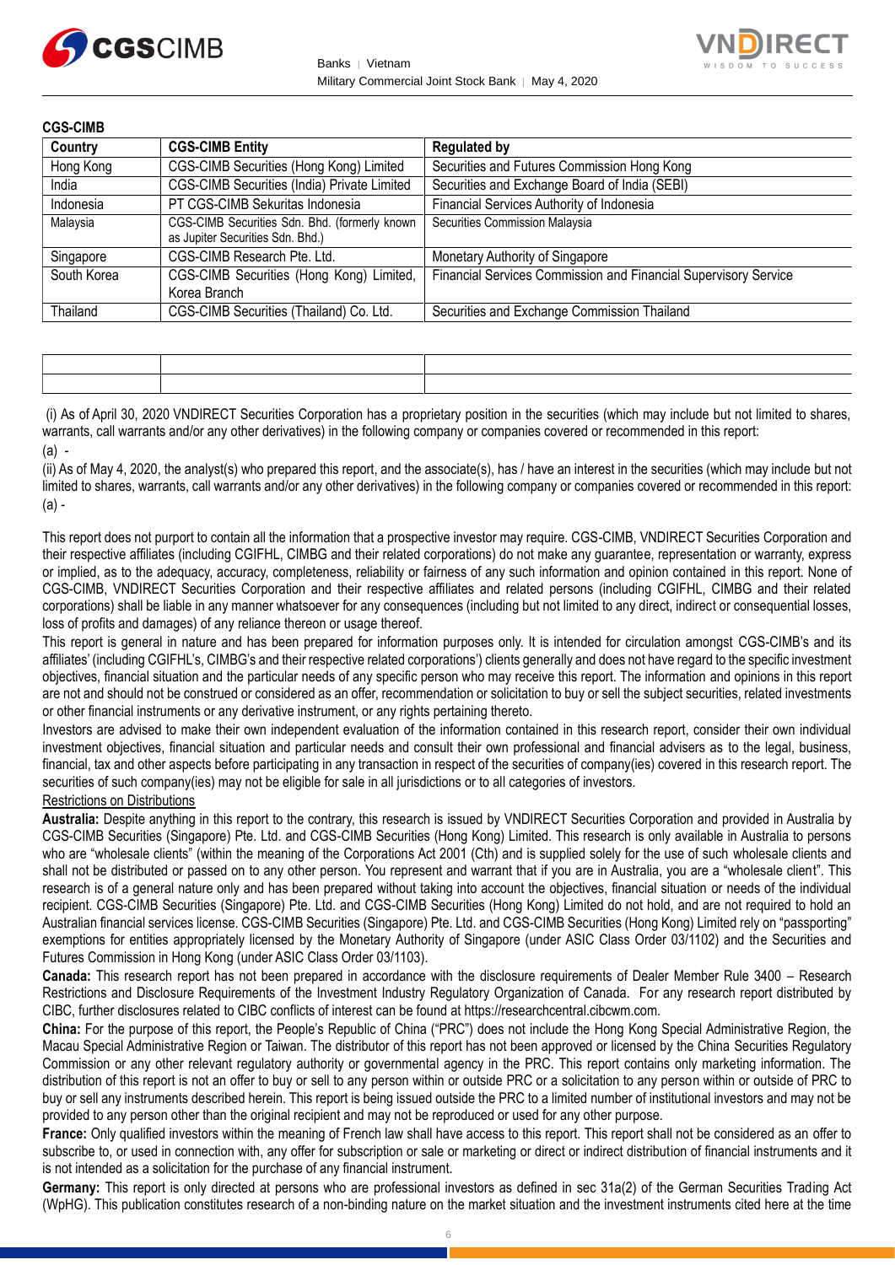



| <b>CGS-CIMB</b> |                                                                                   |                                                                 |
|-----------------|-----------------------------------------------------------------------------------|-----------------------------------------------------------------|
| Country         | <b>CGS-CIMB Entity</b>                                                            | <b>Regulated by</b>                                             |
| Hong Kong       | CGS-CIMB Securities (Hong Kong) Limited                                           | Securities and Futures Commission Hong Kong                     |
| India           | CGS-CIMB Securities (India) Private Limited                                       | Securities and Exchange Board of India (SEBI)                   |
| Indonesia       | PT CGS-CIMB Sekuritas Indonesia                                                   | Financial Services Authority of Indonesia                       |
| Malaysia        | CGS-CIMB Securities Sdn. Bhd. (formerly known<br>as Jupiter Securities Sdn. Bhd.) | Securities Commission Malaysia                                  |
| Singapore       | CGS-CIMB Research Pte. Ltd.                                                       | Monetary Authority of Singapore                                 |
| South Korea     | CGS-CIMB Securities (Hong Kong) Limited,<br>Korea Branch                          | Financial Services Commission and Financial Supervisory Service |
| Thailand        | CGS-CIMB Securities (Thailand) Co. Ltd.                                           | Securities and Exchange Commission Thailand                     |

|  | the contract of the contract of the contract of the contract of the contract of the contract of the contract of |
|--|-----------------------------------------------------------------------------------------------------------------|
|  |                                                                                                                 |

(i) As of April 30, 2020 VNDIRECT Securities Corporation has a proprietary position in the securities (which may include but not limited to shares, warrants, call warrants and/or any other derivatives) in the following company or companies covered or recommended in this report: (a) -

(ii) As of May 4, 2020, the analyst(s) who prepared this report, and the associate(s), has / have an interest in the securities (which may include but not limited to shares, warrants, call warrants and/or any other derivatives) in the following company or companies covered or recommended in this report:  $(a)$  -

This report does not purport to contain all the information that a prospective investor may require. CGS-CIMB, VNDIRECT Securities Corporation and their respective affiliates (including CGIFHL, CIMBG and their related corporations) do not make any guarantee, representation or warranty, express or implied, as to the adequacy, accuracy, completeness, reliability or fairness of any such information and opinion contained in this report. None of CGS-CIMB, VNDIRECT Securities Corporation and their respective affiliates and related persons (including CGIFHL, CIMBG and their related corporations) shall be liable in any manner whatsoever for any consequences (including but not limited to any direct, indirect or consequential losses, loss of profits and damages) of any reliance thereon or usage thereof.

This report is general in nature and has been prepared for information purposes only. It is intended for circulation amongst CGS-CIMB's and its affiliates' (including CGIFHL's, CIMBG's and their respective related corporations') clients generally and does not have regard to the specific investment objectives, financial situation and the particular needs of any specific person who may receive this report. The information and opinions in this report are not and should not be construed or considered as an offer, recommendation or solicitation to buy or sell the subject securities, related investments or other financial instruments or any derivative instrument, or any rights pertaining thereto.

Investors are advised to make their own independent evaluation of the information contained in this research report, consider their own individual investment objectives, financial situation and particular needs and consult their own professional and financial advisers as to the legal, business, financial, tax and other aspects before participating in any transaction in respect of the securities of company(ies) covered in this research report. The securities of such company(ies) may not be eligible for sale in all jurisdictions or to all categories of investors.

### Restrictions on Distributions

**Australia:** Despite anything in this report to the contrary, this research is issued by VNDIRECT Securities Corporation and provided in Australia by CGS-CIMB Securities (Singapore) Pte. Ltd. and CGS-CIMB Securities (Hong Kong) Limited. This research is only available in Australia to persons who are "wholesale clients" (within the meaning of the Corporations Act 2001 (Cth) and is supplied solely for the use of such wholesale clients and shall not be distributed or passed on to any other person. You represent and warrant that if you are in Australia, you are a "wholesale client". This research is of a general nature only and has been prepared without taking into account the objectives, financial situation or needs of the individual recipient. CGS-CIMB Securities (Singapore) Pte. Ltd. and CGS-CIMB Securities (Hong Kong) Limited do not hold, and are not required to hold an Australian financial services license. CGS-CIMB Securities (Singapore) Pte. Ltd. and CGS-CIMB Securities (Hong Kong) Limited rely on "passporting" exemptions for entities appropriately licensed by the Monetary Authority of Singapore (under ASIC Class Order 03/1102) and the Securities and Futures Commission in Hong Kong (under ASIC Class Order 03/1103).

**Canada:** This research report has not been prepared in accordance with the disclosure requirements of Dealer Member Rule 3400 – Research Restrictions and Disclosure Requirements of the Investment Industry Regulatory Organization of Canada. For any research report distributed by CIBC, further disclosures related to CIBC conflicts of interest can be found at https://researchcentral.cibcwm.com.

**China:** For the purpose of this report, the People's Republic of China ("PRC") does not include the Hong Kong Special Administrative Region, the Macau Special Administrative Region or Taiwan. The distributor of this report has not been approved or licensed by the China Securities Regulatory Commission or any other relevant regulatory authority or governmental agency in the PRC. This report contains only marketing information. The distribution of this report is not an offer to buy or sell to any person within or outside PRC or a solicitation to any person within or outside of PRC to buy or sell any instruments described herein. This report is being issued outside the PRC to a limited number of institutional investors and may not be provided to any person other than the original recipient and may not be reproduced or used for any other purpose.

**France:** Only qualified investors within the meaning of French law shall have access to this report. This report shall not be considered as an offer to subscribe to, or used in connection with, any offer for subscription or sale or marketing or direct or indirect distribution of financial instruments and it is not intended as a solicitation for the purchase of any financial instrument.

**Germany:** This report is only directed at persons who are professional investors as defined in sec 31a(2) of the German Securities Trading Act (WpHG). This publication constitutes research of a non-binding nature on the market situation and the investment instruments cited here at the time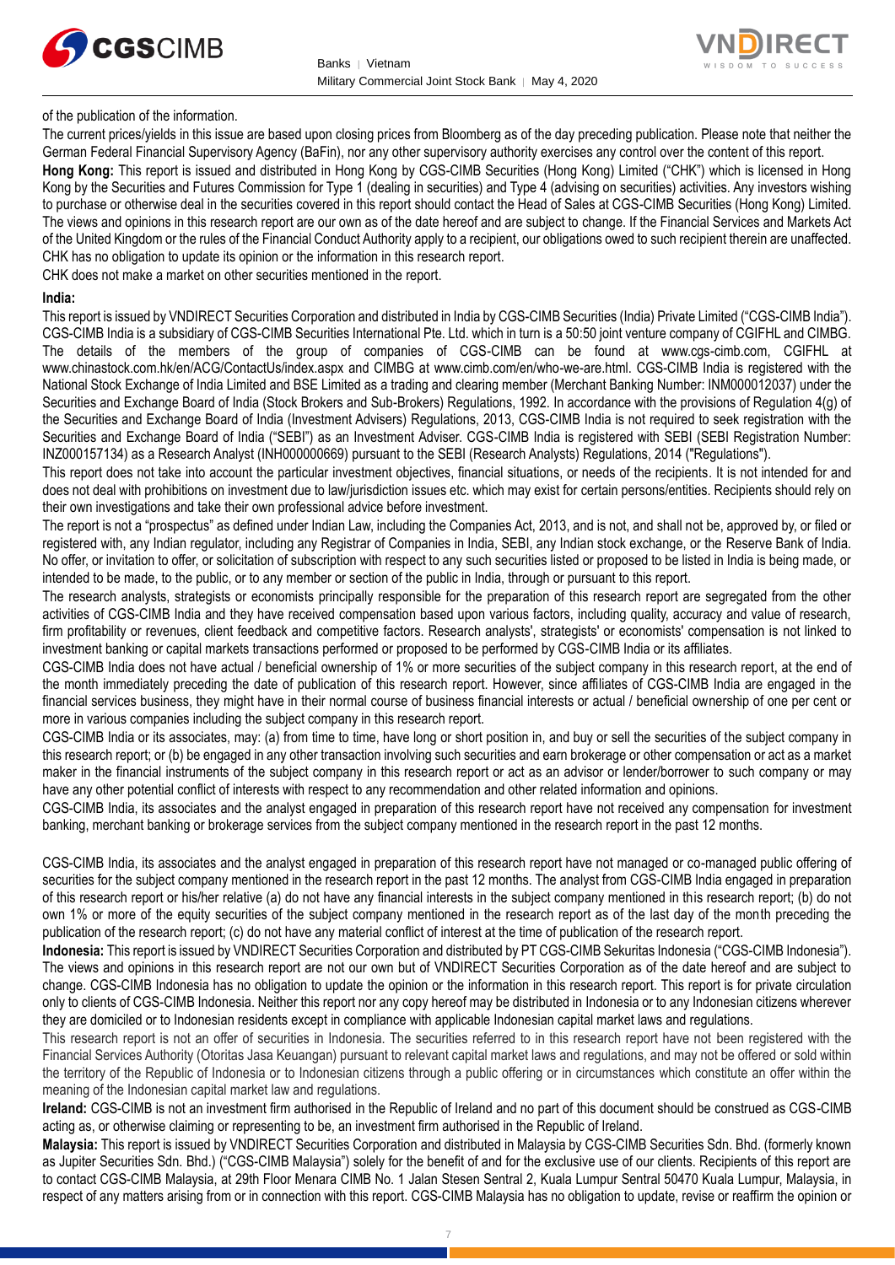



of the publication of the information.

The current prices/yields in this issue are based upon closing prices from Bloomberg as of the day preceding publication. Please note that neither the German Federal Financial Supervisory Agency (BaFin), nor any other supervisory authority exercises any control over the content of this report.

**Hong Kong:** This report is issued and distributed in Hong Kong by CGS-CIMB Securities (Hong Kong) Limited ("CHK") which is licensed in Hong Kong by the Securities and Futures Commission for Type 1 (dealing in securities) and Type 4 (advising on securities) activities. Any investors wishing to purchase or otherwise deal in the securities covered in this report should contact the Head of Sales at CGS-CIMB Securities (Hong Kong) Limited. The views and opinions in this research report are our own as of the date hereof and are subject to change. If the Financial Services and Markets Act of the United Kingdom or the rules of the Financial Conduct Authority apply to a recipient, our obligations owed to such recipient therein are unaffected. CHK has no obligation to update its opinion or the information in this research report.

CHK does not make a market on other securities mentioned in the report.

#### **India:**

This report is issued by VNDIRECT Securities Corporation and distributed in India by CGS-CIMB Securities (India) Private Limited ("CGS-CIMB India"). CGS-CIMB India is a subsidiary of CGS-CIMB Securities International Pte. Ltd. which in turn is a 50:50 joint venture company of CGIFHL and CIMBG. The details of the members of the group of companies of CGS-CIMB can be found at www.cgs-cimb.com, CGIFHL at www.chinastock.com.hk/en/ACG/ContactUs/index.aspx and CIMBG at www.cimb.com/en/who-we-are.html. CGS-CIMB India is registered with the National Stock Exchange of India Limited and BSE Limited as a trading and clearing member (Merchant Banking Number: INM000012037) under the Securities and Exchange Board of India (Stock Brokers and Sub-Brokers) Regulations, 1992. In accordance with the provisions of Regulation 4(g) of the Securities and Exchange Board of India (Investment Advisers) Regulations, 2013, CGS-CIMB India is not required to seek registration with the Securities and Exchange Board of India ("SEBI") as an Investment Adviser. CGS-CIMB India is registered with SEBI (SEBI Registration Number: INZ000157134) as a Research Analyst (INH000000669) pursuant to the SEBI (Research Analysts) Regulations, 2014 ("Regulations").

This report does not take into account the particular investment objectives, financial situations, or needs of the recipients. It is not intended for and does not deal with prohibitions on investment due to law/jurisdiction issues etc. which may exist for certain persons/entities. Recipients should rely on their own investigations and take their own professional advice before investment.

The report is not a "prospectus" as defined under Indian Law, including the Companies Act, 2013, and is not, and shall not be, approved by, or filed or registered with, any Indian regulator, including any Registrar of Companies in India, SEBI, any Indian stock exchange, or the Reserve Bank of India. No offer, or invitation to offer, or solicitation of subscription with respect to any such securities listed or proposed to be listed in India is being made, or intended to be made, to the public, or to any member or section of the public in India, through or pursuant to this report.

The research analysts, strategists or economists principally responsible for the preparation of this research report are segregated from the other activities of CGS-CIMB India and they have received compensation based upon various factors, including quality, accuracy and value of research, firm profitability or revenues, client feedback and competitive factors. Research analysts', strategists' or economists' compensation is not linked to investment banking or capital markets transactions performed or proposed to be performed by CGS-CIMB India or its affiliates.

CGS-CIMB India does not have actual / beneficial ownership of 1% or more securities of the subject company in this research report, at the end of the month immediately preceding the date of publication of this research report. However, since affiliates of CGS-CIMB India are engaged in the financial services business, they might have in their normal course of business financial interests or actual / beneficial ownership of one per cent or more in various companies including the subject company in this research report.

CGS-CIMB India or its associates, may: (a) from time to time, have long or short position in, and buy or sell the securities of the subject company in this research report; or (b) be engaged in any other transaction involving such securities and earn brokerage or other compensation or act as a market maker in the financial instruments of the subject company in this research report or act as an advisor or lender/borrower to such company or may have any other potential conflict of interests with respect to any recommendation and other related information and opinions.

CGS-CIMB India, its associates and the analyst engaged in preparation of this research report have not received any compensation for investment banking, merchant banking or brokerage services from the subject company mentioned in the research report in the past 12 months.

CGS-CIMB India, its associates and the analyst engaged in preparation of this research report have not managed or co-managed public offering of securities for the subject company mentioned in the research report in the past 12 months. The analyst from CGS-CIMB India engaged in preparation of this research report or his/her relative (a) do not have any financial interests in the subject company mentioned in this research report; (b) do not own 1% or more of the equity securities of the subject company mentioned in the research report as of the last day of the month preceding the publication of the research report; (c) do not have any material conflict of interest at the time of publication of the research report.

**Indonesia:** This report is issued by VNDIRECT Securities Corporation and distributed by PT CGS-CIMB Sekuritas Indonesia ("CGS-CIMB Indonesia"). The views and opinions in this research report are not our own but of VNDIRECT Securities Corporation as of the date hereof and are subject to change. CGS-CIMB Indonesia has no obligation to update the opinion or the information in this research report. This report is for private circulation only to clients of CGS-CIMB Indonesia. Neither this report nor any copy hereof may be distributed in Indonesia or to any Indonesian citizens wherever they are domiciled or to Indonesian residents except in compliance with applicable Indonesian capital market laws and regulations.

This research report is not an offer of securities in Indonesia. The securities referred to in this research report have not been registered with the Financial Services Authority (Otoritas Jasa Keuangan) pursuant to relevant capital market laws and regulations, and may not be offered or sold within the territory of the Republic of Indonesia or to Indonesian citizens through a public offering or in circumstances which constitute an offer within the meaning of the Indonesian capital market law and regulations.

**Ireland:** CGS-CIMB is not an investment firm authorised in the Republic of Ireland and no part of this document should be construed as CGS-CIMB acting as, or otherwise claiming or representing to be, an investment firm authorised in the Republic of Ireland.

**Malaysia:** This report is issued by VNDIRECT Securities Corporation and distributed in Malaysia by CGS-CIMB Securities Sdn. Bhd. (formerly known as Jupiter Securities Sdn. Bhd.) ("CGS-CIMB Malaysia") solely for the benefit of and for the exclusive use of our clients. Recipients of this report are to contact CGS-CIMB Malaysia, at 29th Floor Menara CIMB No. 1 Jalan Stesen Sentral 2, Kuala Lumpur Sentral 50470 Kuala Lumpur, Malaysia, in respect of any matters arising from or in connection with this report. CGS-CIMB Malaysia has no obligation to update, revise or reaffirm the opinion or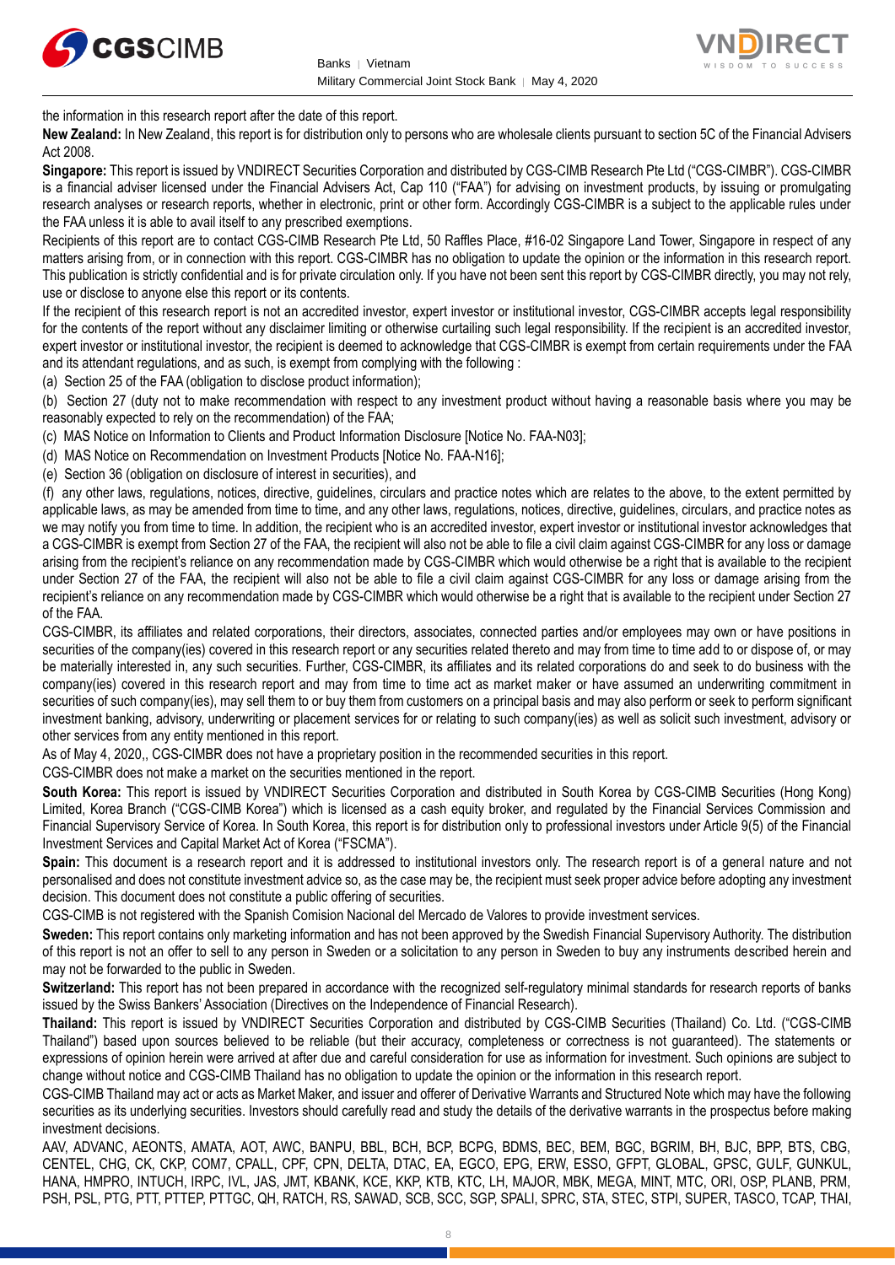



the information in this research report after the date of this report.

**New Zealand:** In New Zealand, this report is for distribution only to persons who are wholesale clients pursuant to section 5C of the Financial Advisers Act 2008.

**Singapore:** This report is issued by VNDIRECT Securities Corporation and distributed by CGS-CIMB Research Pte Ltd ("CGS-CIMBR"). CGS-CIMBR is a financial adviser licensed under the Financial Advisers Act, Cap 110 ("FAA") for advising on investment products, by issuing or promulgating research analyses or research reports, whether in electronic, print or other form. Accordingly CGS-CIMBR is a subject to the applicable rules under the FAA unless it is able to avail itself to any prescribed exemptions.

Recipients of this report are to contact CGS-CIMB Research Pte Ltd, 50 Raffles Place, #16-02 Singapore Land Tower, Singapore in respect of any matters arising from, or in connection with this report. CGS-CIMBR has no obligation to update the opinion or the information in this research report. This publication is strictly confidential and is for private circulation only. If you have not been sent this report by CGS-CIMBR directly, you may not rely, use or disclose to anyone else this report or its contents.

If the recipient of this research report is not an accredited investor, expert investor or institutional investor, CGS-CIMBR accepts legal responsibility for the contents of the report without any disclaimer limiting or otherwise curtailing such legal responsibility. If the recipient is an accredited investor, expert investor or institutional investor, the recipient is deemed to acknowledge that CGS-CIMBR is exempt from certain requirements under the FAA and its attendant regulations, and as such, is exempt from complying with the following :

(a) Section 25 of the FAA (obligation to disclose product information);

(b) Section 27 (duty not to make recommendation with respect to any investment product without having a reasonable basis where you may be reasonably expected to rely on the recommendation) of the FAA;

(c) MAS Notice on Information to Clients and Product Information Disclosure [Notice No. FAA-N03];

(d) MAS Notice on Recommendation on Investment Products [Notice No. FAA-N16];

(e) Section 36 (obligation on disclosure of interest in securities), and

(f) any other laws, regulations, notices, directive, guidelines, circulars and practice notes which are relates to the above, to the extent permitted by applicable laws, as may be amended from time to time, and any other laws, regulations, notices, directive, guidelines, circulars, and practice notes as we may notify you from time to time. In addition, the recipient who is an accredited investor, expert investor or institutional investor acknowledges that a CGS-CIMBR is exempt from Section 27 of the FAA, the recipient will also not be able to file a civil claim against CGS-CIMBR for any loss or damage arising from the recipient's reliance on any recommendation made by CGS-CIMBR which would otherwise be a right that is available to the recipient under Section 27 of the FAA, the recipient will also not be able to file a civil claim against CGS-CIMBR for any loss or damage arising from the recipient's reliance on any recommendation made by CGS-CIMBR which would otherwise be a right that is available to the recipient under Section 27 of the FAA.

CGS-CIMBR, its affiliates and related corporations, their directors, associates, connected parties and/or employees may own or have positions in securities of the company(ies) covered in this research report or any securities related thereto and may from time to time add to or dispose of, or may be materially interested in, any such securities. Further, CGS-CIMBR, its affiliates and its related corporations do and seek to do business with the company(ies) covered in this research report and may from time to time act as market maker or have assumed an underwriting commitment in securities of such company(ies), may sell them to or buy them from customers on a principal basis and may also perform or seek to perform significant investment banking, advisory, underwriting or placement services for or relating to such company(ies) as well as solicit such investment, advisory or other services from any entity mentioned in this report.

As of May 4, 2020,, CGS-CIMBR does not have a proprietary position in the recommended securities in this report.

CGS-CIMBR does not make a market on the securities mentioned in the report.

**South Korea:** This report is issued by VNDIRECT Securities Corporation and distributed in South Korea by CGS-CIMB Securities (Hong Kong) Limited, Korea Branch ("CGS-CIMB Korea") which is licensed as a cash equity broker, and regulated by the Financial Services Commission and Financial Supervisory Service of Korea. In South Korea, this report is for distribution only to professional investors under Article 9(5) of the Financial Investment Services and Capital Market Act of Korea ("FSCMA").

**Spain:** This document is a research report and it is addressed to institutional investors only. The research report is of a general nature and not personalised and does not constitute investment advice so, as the case may be, the recipient must seek proper advice before adopting any investment decision. This document does not constitute a public offering of securities.

CGS-CIMB is not registered with the Spanish Comision Nacional del Mercado de Valores to provide investment services.

**Sweden:** This report contains only marketing information and has not been approved by the Swedish Financial Supervisory Authority. The distribution of this report is not an offer to sell to any person in Sweden or a solicitation to any person in Sweden to buy any instruments described herein and may not be forwarded to the public in Sweden.

**Switzerland:** This report has not been prepared in accordance with the recognized self-regulatory minimal standards for research reports of banks issued by the Swiss Bankers' Association (Directives on the Independence of Financial Research).

**Thailand:** This report is issued by VNDIRECT Securities Corporation and distributed by CGS-CIMB Securities (Thailand) Co. Ltd. ("CGS-CIMB Thailand") based upon sources believed to be reliable (but their accuracy, completeness or correctness is not guaranteed). The statements or expressions of opinion herein were arrived at after due and careful consideration for use as information for investment. Such opinions are subject to change without notice and CGS-CIMB Thailand has no obligation to update the opinion or the information in this research report.

CGS-CIMB Thailand may act or acts as Market Maker, and issuer and offerer of Derivative Warrants and Structured Note which may have the following securities as its underlying securities. Investors should carefully read and study the details of the derivative warrants in the prospectus before making investment decisions.

AAV, ADVANC, AEONTS, AMATA, AOT, AWC, BANPU, BBL, BCH, BCP, BCPG, BDMS, BEC, BEM, BGC, BGRIM, BH, BJC, BPP, BTS, CBG, CENTEL, CHG, CK, CKP, COM7, CPALL, CPF, CPN, DELTA, DTAC, EA, EGCO, EPG, ERW, ESSO, GFPT, GLOBAL, GPSC, GULF, GUNKUL, HANA, HMPRO, INTUCH, IRPC, IVL, JAS, JMT, KBANK, KCE, KKP, KTB, KTC, LH, MAJOR, MBK, MEGA, MINT, MTC, ORI, OSP, PLANB, PRM, PSH, PSL, PTG, PTT, PTTEP, PTTGC, QH, RATCH, RS, SAWAD, SCB, SCC, SGP, SPALI, SPRC, STA, STEC, STPI, SUPER, TASCO, TCAP, THAI,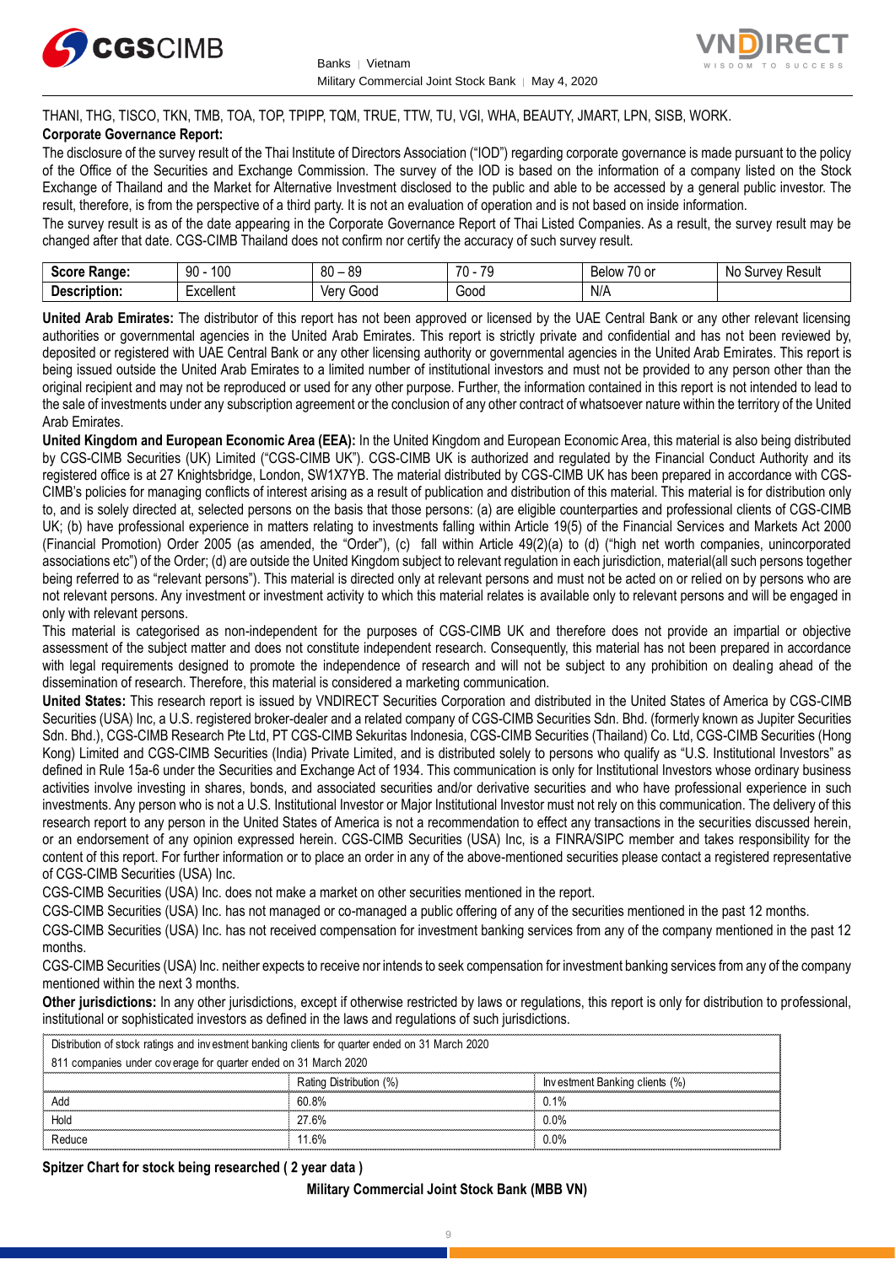



THANI, THG, TISCO, TKN, TMB, TOA, TOP, TPIPP, TQM, TRUE, TTW, TU, VGI, WHA, BEAUTY, JMART, LPN, SISB, WORK.

## **Corporate Governance Report:**

The disclosure of the survey result of the Thai Institute of Directors Association ("IOD") regarding corporate governance is made pursuant to the policy of the Office of the Securities and Exchange Commission. The survey of the IOD is based on the information of a company listed on the Stock Exchange of Thailand and the Market for Alternative Investment disclosed to the public and able to be accessed by a general public investor. The result, therefore, is from the perspective of a third party. It is not an evaluation of operation and is not based on inside information.

The survey result is as of the date appearing in the Corporate Governance Report of Thai Listed Companies. As a result, the survey result may be changed after that date. CGS-CIMB Thailand does not confirm nor certify the accuracy of such survey result.

| $S_{max}$<br><b>Range:</b>               | 100<br>۵N<br>ĴU         | $\circ$<br>RΛ<br>x.<br>υv<br>ت∪ | $\overline{\phantom{a}}$<br>$70^{\circ}$<br>v | $\overline{\phantom{a}}$<br>, or<br><b>Below</b><br>$\mathbf{u}$ | Result<br>vev <sup>-</sup><br><b>NC</b><br>m<br>our |
|------------------------------------------|-------------------------|---------------------------------|-----------------------------------------------|------------------------------------------------------------------|-----------------------------------------------------|
| -<br><b>Descrip</b><br>----<br>™ription. | $-$ voollont<br>∟∧∪∪แบแ | 000خ<br>Verv                    | -<br>Good                                     | N/A                                                              |                                                     |

**United Arab Emirates:** The distributor of this report has not been approved or licensed by the UAE Central Bank or any other relevant licensing authorities or governmental agencies in the United Arab Emirates. This report is strictly private and confidential and has not been reviewed by, deposited or registered with UAE Central Bank or any other licensing authority or governmental agencies in the United Arab Emirates. This report is being issued outside the United Arab Emirates to a limited number of institutional investors and must not be provided to any person other than the original recipient and may not be reproduced or used for any other purpose. Further, the information contained in this report is not intended to lead to the sale of investments under any subscription agreement or the conclusion of any other contract of whatsoever nature within the territory of the United Arab Emirates.

**United Kingdom and European Economic Area (EEA):** In the United Kingdom and European Economic Area, this material is also being distributed by CGS-CIMB Securities (UK) Limited ("CGS-CIMB UK"). CGS-CIMB UK is authorized and regulated by the Financial Conduct Authority and its registered office is at 27 Knightsbridge, London, SW1X7YB. The material distributed by CGS-CIMB UK has been prepared in accordance with CGS-CIMB's policies for managing conflicts of interest arising as a result of publication and distribution of this material. This material is for distribution only to, and is solely directed at, selected persons on the basis that those persons: (a) are eligible counterparties and professional clients of CGS-CIMB UK; (b) have professional experience in matters relating to investments falling within Article 19(5) of the Financial Services and Markets Act 2000 (Financial Promotion) Order 2005 (as amended, the "Order"), (c) fall within Article 49(2)(a) to (d) ("high net worth companies, unincorporated associations etc") of the Order; (d) are outside the United Kingdom subject to relevant regulation in each jurisdiction, material(all such persons together being referred to as "relevant persons"). This material is directed only at relevant persons and must not be acted on or relied on by persons who are not relevant persons. Any investment or investment activity to which this material relates is available only to relevant persons and will be engaged in only with relevant persons.

This material is categorised as non-independent for the purposes of CGS-CIMB UK and therefore does not provide an impartial or objective assessment of the subject matter and does not constitute independent research. Consequently, this material has not been prepared in accordance with legal requirements designed to promote the independence of research and will not be subject to any prohibition on dealing ahead of the dissemination of research. Therefore, this material is considered a marketing communication.

**United States:** This research report is issued by VNDIRECT Securities Corporation and distributed in the United States of America by CGS-CIMB Securities (USA) Inc, a U.S. registered broker-dealer and a related company of CGS-CIMB Securities Sdn. Bhd. (formerly known as Jupiter Securities Sdn. Bhd.), CGS-CIMB Research Pte Ltd, PT CGS-CIMB Sekuritas Indonesia, CGS-CIMB Securities (Thailand) Co. Ltd, CGS-CIMB Securities (Hong Kong) Limited and CGS-CIMB Securities (India) Private Limited, and is distributed solely to persons who qualify as "U.S. Institutional Investors" as defined in Rule 15a-6 under the Securities and Exchange Act of 1934. This communication is only for Institutional Investors whose ordinary business activities involve investing in shares, bonds, and associated securities and/or derivative securities and who have professional experience in such investments. Any person who is not a U.S. Institutional Investor or Major Institutional Investor must not rely on this communication. The delivery of this research report to any person in the United States of America is not a recommendation to effect any transactions in the securities discussed herein, or an endorsement of any opinion expressed herein. CGS-CIMB Securities (USA) Inc, is a FINRA/SIPC member and takes responsibility for the content of this report. For further information or to place an order in any of the above-mentioned securities please contact a registered representative of CGS-CIMB Securities (USA) Inc.

CGS-CIMB Securities (USA) Inc. does not make a market on other securities mentioned in the report.

CGS-CIMB Securities (USA) Inc. has not managed or co-managed a public offering of any of the securities mentioned in the past 12 months.

CGS-CIMB Securities (USA) Inc. has not received compensation for investment banking services from any of the company mentioned in the past 12 months.

CGS-CIMB Securities (USA) Inc. neither expects to receive nor intends to seek compensation for investment banking services from any of the company mentioned within the next 3 months.

**Other jurisdictions:** In any other jurisdictions, except if otherwise restricted by laws or regulations, this report is only for distribution to professional, institutional or sophisticated investors as defined in the laws and regulations of such jurisdictions. entioned within the next 3 months.<br> **ther jurisdictions:** In any other jurisdictions, except if otherwise restricted by la<br>
stitutional or sophisticated investors as defined in the laws and regulations of sue<br>
Distribution

| <b>Other jurisdictions:</b> In any other jurisdictions, except if otherwise restricted by laws or regulations, this report is only for distribution to<br>institutional or sophisticated investors as defined in the laws and regulations of such jurisdictions. |                         |                                |  |  |  |
|------------------------------------------------------------------------------------------------------------------------------------------------------------------------------------------------------------------------------------------------------------------|-------------------------|--------------------------------|--|--|--|
| Distribution of stock ratings and investment banking clients for quarter ended on 31 March 2020                                                                                                                                                                  |                         |                                |  |  |  |
| 811 companies under coverage for quarter ended on 31 March 2020                                                                                                                                                                                                  |                         |                                |  |  |  |
|                                                                                                                                                                                                                                                                  | Rating Distribution (%) | Investment Banking clients (%) |  |  |  |
| Add                                                                                                                                                                                                                                                              | 60.8%                   | 0.1%                           |  |  |  |
| Hold                                                                                                                                                                                                                                                             | 27.6%                   | 0.0%                           |  |  |  |
| Reduce                                                                                                                                                                                                                                                           | 11 6 <sup>%</sup>       | በ በ%                           |  |  |  |

## **Spitzer Chart for stock being researched ( 2 year data )**

## **Military Commercial Joint Stock Bank (MBB VN)**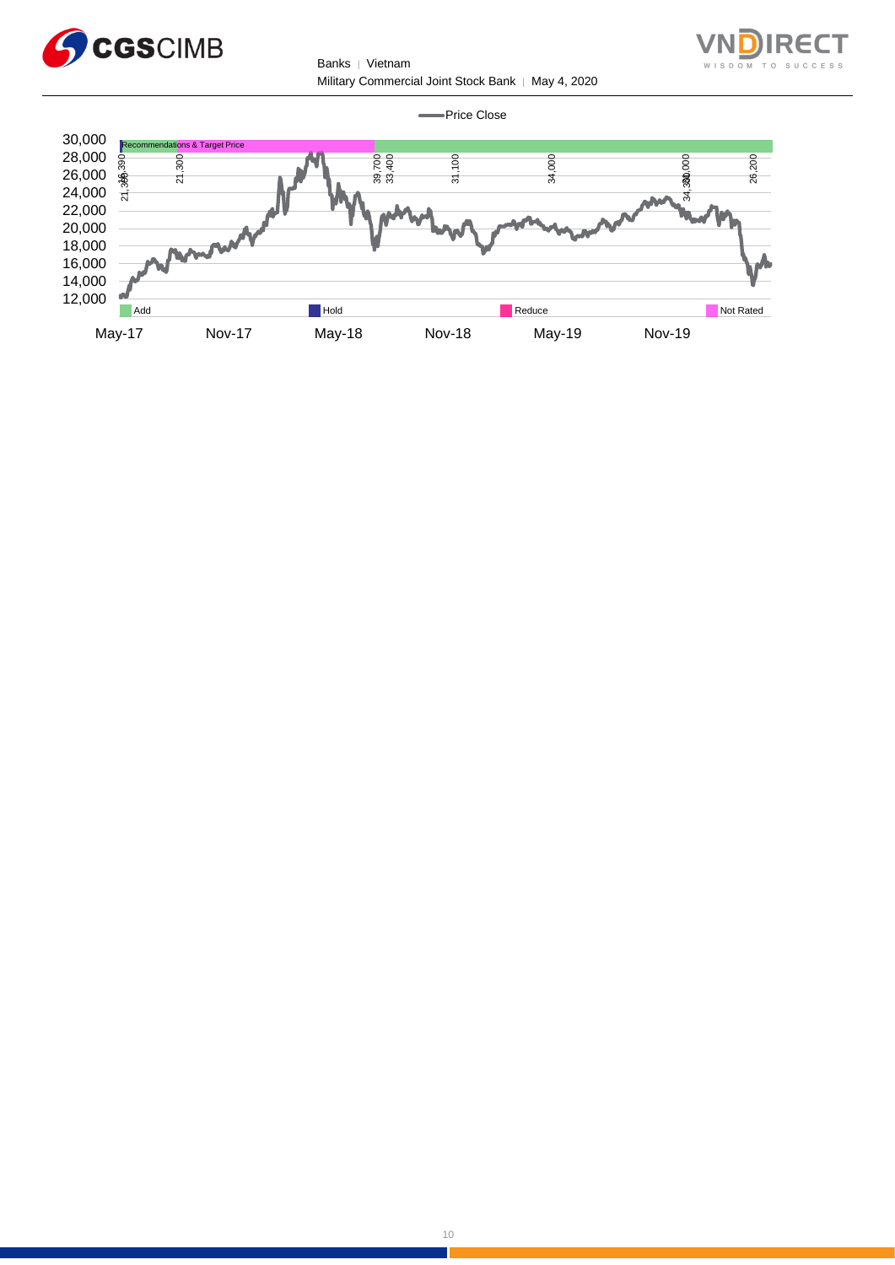

Banks | Vietnam Military Commercial Joint Stock Bank | May 4, 2020



Price Close



÷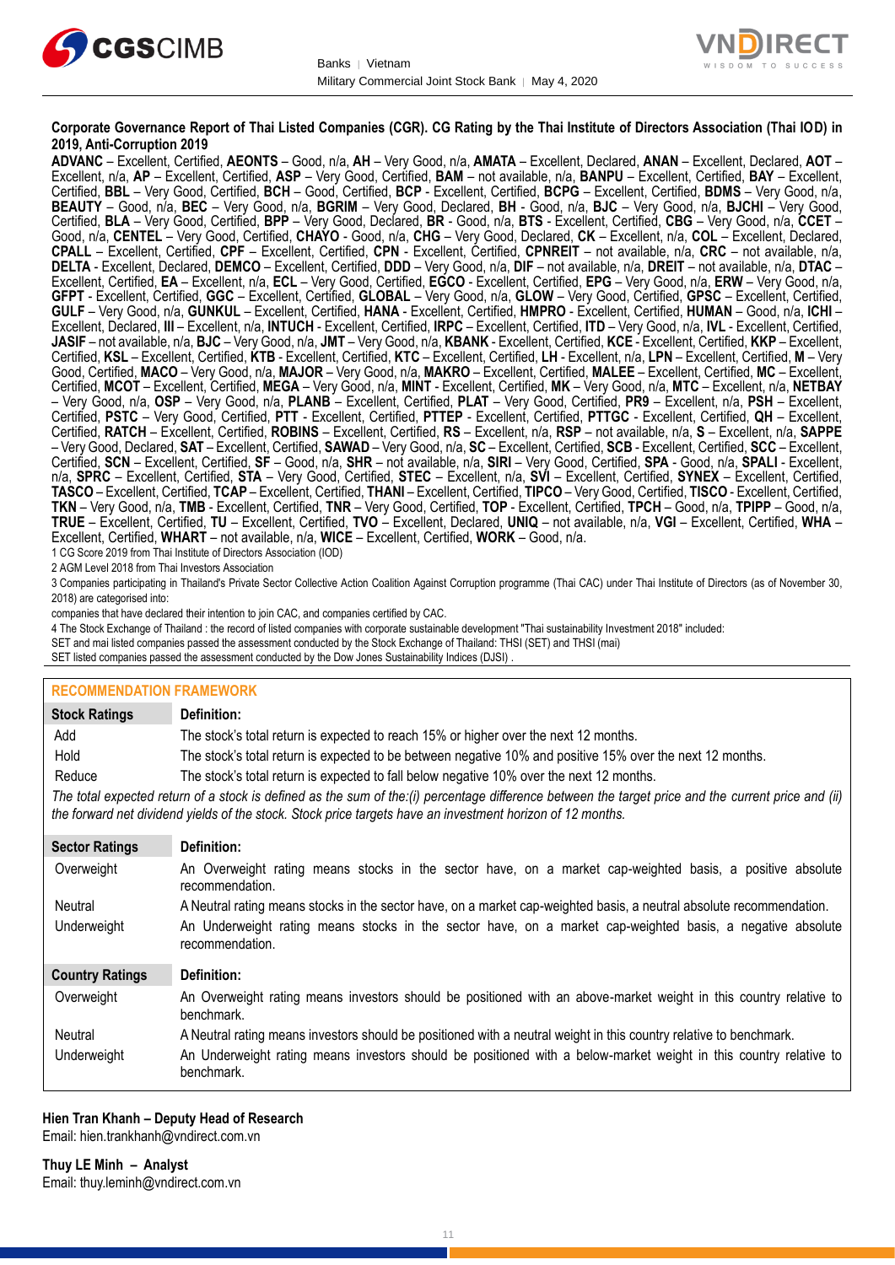



### **Corporate Governance Report of Thai Listed Companies (CGR). CG Rating by the Thai Institute of Directors Association (Thai IOD) in 2019, Anti-Corruption 2019**

**ADVANC** – Excellent, Certified, **AEONTS** – Good, n/a, **AH** – Very Good, n/a, **AMATA** – Excellent, Declared, **ANAN** – Excellent, Declared, **AOT** – Excellent, n/a, **AP** – Excellent, Certified, **ASP** – Very Good, Certified, **BAM** – not available, n/a, **BANPU** – Excellent, Certified, **BAY** – Excellent, Certified, **BBL** – Very Good, Certified, **BCH** – Good, Certified, **BCP** - Excellent, Certified, **BCPG** – Excellent, Certified, **BDMS** – Very Good, n/a, **BEAUTY** – Good, n/a, **BEC** – Very Good, n/a, **BGRIM** – Very Good, Declared, **BH** - Good, n/a, **BJC** – Very Good, n/a, **BJCHI** – Very Good, Certified, **BLA** – Very Good, Certified, **BPP** – Very Good, Declared, **BR** - Good, n/a, **BTS** - Excellent, Certified, **CBG** – Very Good, n/a, **CCET** – Good, n/a, **CENTEL** – Very Good, Certified, **CHAYO** - Good, n/a, **CHG** – Very Good, Declared, **CK** – Excellent, n/a, **COL** – Excellent, Declared, **CPALL** – Excellent, Certified, **CPF** – Excellent, Certified, **CPN** - Excellent, Certified, **CPNREIT** – not available, n/a, **CRC** – not available, n/a, **DELTA** - Excellent, Declared, **DEMCO** – Excellent, Certified, **DDD** – Very Good, n/a, **DIF** – not available, n/a, **DREIT** – not available, n/a, **DTAC** – Excellent, Certified, **EA** – Excellent, n/a, **ECL** – Very Good, Certified, **EGCO** - Excellent, Certified, **EPG** – Very Good, n/a, **ERW** – Very Good, n/a, **GFPT** - Excellent, Certified, **GGC** – Excellent, Certified, **GLOBAL** – Very Good, n/a, **GLOW** – Very Good, Certified, **GPSC** – Excellent, Certified, **GULF** – Very Good, n/a, **GUNKUL** – Excellent, Certified, **HANA** - Excellent, Certified, **HMPRO** - Excellent, Certified, **HUMAN** – Good, n/a, **ICHI** – Excellent, Declared, **III** – Excellent, n/a, **INTUCH** - Excellent, Certified, **IRPC** – Excellent, Certified, **ITD** – Very Good, n/a, **IVL** - Excellent, Certified, **JASIF** – not available, n/a, **BJC** – Very Good, n/a, **JMT** – Very Good, n/a, **KBANK** - Excellent, Certified, **KCE** - Excellent, Certified, **KKP** – Excellent, Certified, **KSL** – Excellent, Certified, **KTB** - Excellent, Certified, **KTC** – Excellent, Certified, **LH** - Excellent, n/a, **LPN** – Excellent, Certified, **M** – Very Good, Certified, **MACO** – Very Good, n/a, **MAJOR** – Very Good, n/a, **MAKRO** – Excellent, Certified, **MALEE** – Excellent, Certified, **MC** – Excellent, Certified, **MCOT** – Excellent, Certified, **MEGA** – Very Good, n/a, **MINT** - Excellent, Certified, **MK** – Very Good, n/a, **MTC** – Excellent, n/a, **NETBAY** – Very Good, n/a, **OSP** – Very Good, n/a, **PLANB** – Excellent, Certified, **PLAT** – Very Good, Certified, **PR9** – Excellent, n/a, **PSH** – Excellent, Certified, **PSTC** – Very Good, Certified, **PTT** - Excellent, Certified, **PTTEP** - Excellent, Certified, **PTTGC** - Excellent, Certified, **QH** – Excellent, Certified, **RATCH** – Excellent, Certified, **ROBINS** – Excellent, Certified, **RS** – Excellent, n/a, **RSP** – not available, n/a, **S** – Excellent, n/a, **SAPPE** – Very Good, Declared, **SAT** – Excellent, Certified, **SAWAD** – Very Good, n/a, **SC** – Excellent, Certified, **SCB** - Excellent, Certified, **SCC** – Excellent, Certified, **SCN** – Excellent, Certified, **SF** – Good, n/a, **SHR** – not available, n/a, **SIRI** – Very Good, Certified, **SPA** - Good, n/a, **SPALI** - Excellent, n/a, **SPRC** – Excellent, Certified, **STA** – Very Good, Certified, **STEC** – Excellent, n/a, **SVI** – Excellent, Certified, **SYNEX** – Excellent, Certified, **TASCO** – Excellent, Certified, **TCAP** – Excellent, Certified, **THANI** – Excellent, Certified, **TIPCO** – Very Good, Certified, **TISCO** - Excellent, Certified, **TKN** – Very Good, n/a, **TMB** - Excellent, Certified, **TNR** – Very Good, Certified, **TOP** - Excellent, Certified, **TPCH** – Good, n/a, **TPIPP** – Good, n/a, **TRUE** – Excellent, Certified, **TU** – Excellent, Certified, **TVO** – Excellent, Declared, **UNIQ** – not available, n/a, **VGI** – Excellent, Certified, **WHA** – Excellent, Certified, **WHART** – not available, n/a, **WICE** – Excellent, Certified, **WORK** – Good, n/a.

1 CG Score 2019 from Thai Institute of Directors Association (IOD)

2 AGM Level 2018 from Thai Investors Association

3 Companies participating in Thailand's Private Sector Collective Action Coalition Against Corruption programme (Thai CAC) under Thai Institute of Directors (as of November 30, 2018) are categorised into:

companies that have declared their intention to join CAC, and companies certified by CAC.

- 4 [The Stock Exchange of Thailand : the record of listed companies with corporate sustainable development "Thai sustainability Investment 2018"](http://www.set.or.th/sustainable_dev/en/sr/sri/tsi_p1.html) included:
- SET and mai listed companies passed the assessment conducted by the Stock Exchange of Thailand: THSI (SET) and THSI (mai)
- SET listed companies passed the assessment conducted by the Dow Jones Sustainability Indices (DJSI)

| <b>RECOMMENDATION FRAMEWORK</b>                                                                                                                                                                                                                                   |                                                                                                                                 |  |  |  |
|-------------------------------------------------------------------------------------------------------------------------------------------------------------------------------------------------------------------------------------------------------------------|---------------------------------------------------------------------------------------------------------------------------------|--|--|--|
| <b>Stock Ratings</b>                                                                                                                                                                                                                                              | Definition:                                                                                                                     |  |  |  |
| Add                                                                                                                                                                                                                                                               | The stock's total return is expected to reach 15% or higher over the next 12 months.                                            |  |  |  |
| Hold                                                                                                                                                                                                                                                              | The stock's total return is expected to be between negative 10% and positive 15% over the next 12 months.                       |  |  |  |
| Reduce                                                                                                                                                                                                                                                            | The stock's total return is expected to fall below negative 10% over the next 12 months.                                        |  |  |  |
| The total expected return of a stock is defined as the sum of the:(i) percentage difference between the target price and the current price and (ii)<br>the forward net dividend yields of the stock. Stock price targets have an investment horizon of 12 months. |                                                                                                                                 |  |  |  |
| <b>Sector Ratings</b>                                                                                                                                                                                                                                             | Definition:                                                                                                                     |  |  |  |
| Overweight                                                                                                                                                                                                                                                        | An Overweight rating means stocks in the sector have, on a market cap-weighted basis, a positive absolute<br>recommendation.    |  |  |  |
| Neutral                                                                                                                                                                                                                                                           | A Neutral rating means stocks in the sector have, on a market cap-weighted basis, a neutral absolute recommendation.            |  |  |  |
| Underweight                                                                                                                                                                                                                                                       | An Underweight rating means stocks in the sector have, on a market cap-weighted basis, a negative absolute<br>recommendation.   |  |  |  |
| <b>Country Ratings</b>                                                                                                                                                                                                                                            | Definition:                                                                                                                     |  |  |  |
| Overweight                                                                                                                                                                                                                                                        | An Overweight rating means investors should be positioned with an above-market weight in this country relative to<br>benchmark. |  |  |  |
| Neutral                                                                                                                                                                                                                                                           | A Neutral rating means investors should be positioned with a neutral weight in this country relative to benchmark.              |  |  |  |
| Underweight                                                                                                                                                                                                                                                       | An Underweight rating means investors should be positioned with a below-market weight in this country relative to<br>benchmark. |  |  |  |

## **Hien Tran Khanh – Deputy Head of Research**

Email: [hien.trankhanh@vndirect.com.vn](mailto:hien.trankhanh@vndirect.com.vn)

**Thuy LE Minh – Analyst** Email: [thuy.leminh@vndirect.com.vn](mailto:thuy.leminh@vndirect.com.vn)